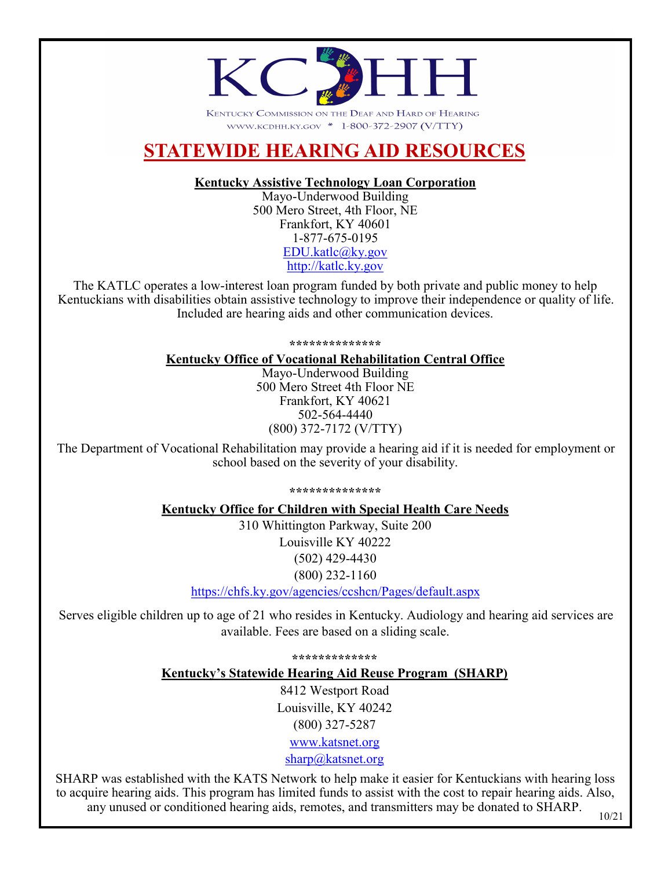

KENTUCKY COMMISSION ON THE DEAF AND HARD OF HEARING WWW.KCDHH.KY.GOV \* 1-800-372-2907 (V/TTY)

## **STATEWIDE HEARING AID RESOURCES**

#### **Kentucky Assistive Technology Loan Corporation**

Mayo-Underwood Building 500 Mero Street, 4th Floor, NE Frankfort, KY 40601 1-877-675-0195 [EDU.katlc@ky.gov](mailto:EDU.katlc@ky.gov) <http://katlc.ky.gov>

The KATLC operates a low-interest loan program funded by both private and public money to help Kentuckians with disabilities obtain assistive technology to improve their independence or quality of life. Included are hearing aids and other communication devices.

**\*\*\*\*\*\*\*\*\*\*\*\*\*\***

#### **Kentucky Office of Vocational Rehabilitation Central Office** Mayo-Underwood Building

500 Mero Street 4th Floor NE Frankfort, KY 40621 502-564-4440 (800) 372-7172 (V/TTY)

The Department of Vocational Rehabilitation may provide a hearing aid if it is needed for employment or school based on the severity of your disability.

#### **\*\*\*\*\*\*\*\*\*\*\*\*\*\***

#### **Kentucky Office for Children with Special Health Care Needs**

310 Whittington Parkway, Suite 200 Louisville KY 40222 (502) 429-4430 (800) 232-1160

[https://chfs.ky.gov/agencies/ccshcn/Pages/default.aspx](https://chfs.ky.gov/agencies/ccshcn/Pages/default.aspxC:/Users/emily.kimbell/Documents/Custom%20Office%20Templates)

Serves eligible children up to age of 21 who resides in Kentucky. Audiology and hearing aid services are available. Fees are based on a sliding scale.

**\*\*\*\*\*\*\*\*\*\*\*\*\***

**Kentucky's Statewide Hearing Aid Reuse Program (SHARP)**

8412 Westport Road Louisville, KY 40242 (800) 327-5287

www.katsnet.org sharp@katsnet.org

SHARP was established with the KATS Network to help make it easier for Kentuckians with hearing loss to acquire hearing aids. This program has limited funds to assist with the cost to repair hearing aids. Also, any unused or conditioned hearing aids, remotes, and transmitters may be donated to SHARP.